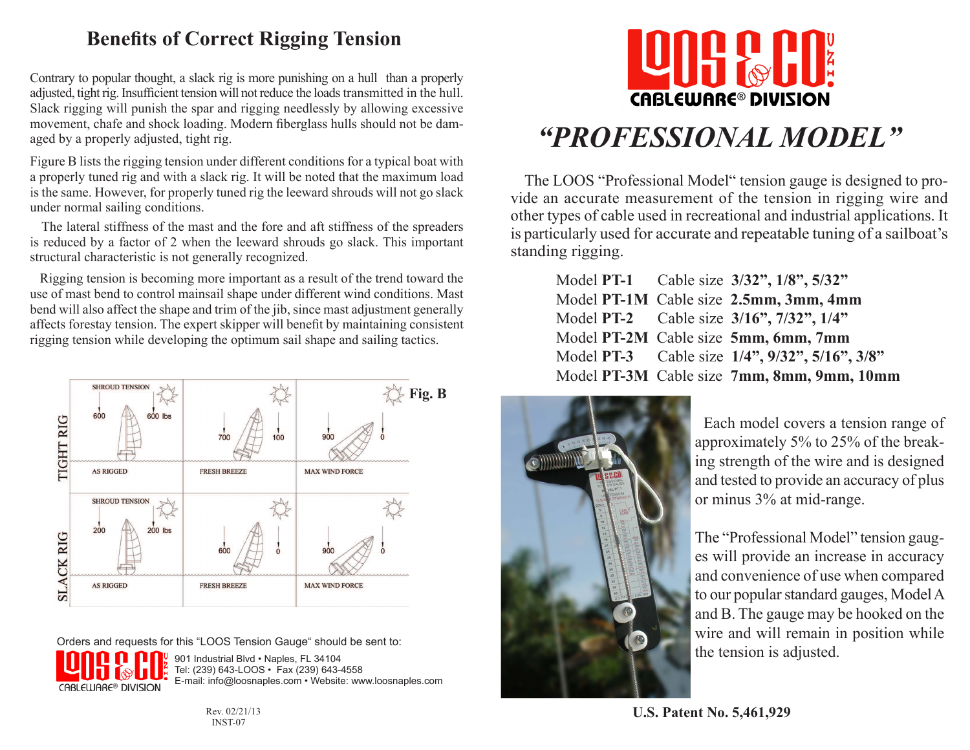## **Benefits of Correct Rigging Tension**

Contrary to popular thought, a slack rig is more punishing on a hull than a properly adjusted, tight rig. Insufficient tension will not reduce the loads transmitted in the hull. Slack rigging will punish the spar and rigging needlessly by allowing excessive movement, chafe and shock loading. Modern fiberglass hulls should not be damaged by a properly adjusted, tight rig.

Figure B lists the rigging tension under different conditions for a typical boat with a properly tuned rig and with a slack rig. It will be noted that the maximum load is the same. However, for properly tuned rig the leeward shrouds will not go slack under normal sailing conditions.

 The lateral stiffness of the mast and the fore and aft stiffness of the spreaders is reduced by a factor of 2 when the leeward shrouds go slack. This important structural characteristic is not generally recognized.

 Rigging tension is becoming more important as a result of the trend toward the use of mast bend to control mainsail shape under different wind conditions. Mast bend will also affect the shape and trim of the jib, since mast adjustment generally affects forestay tension. The expert skipper will benefit by maintaining consistent rigging tension while developing the optimum sail shape and sailing tactics.



Orders and requests for this "LOOS Tension Gauge" should be sent to:



901 Industrial Blvd · Naples, FL 34104 Tel: (239) 643-LOOS • Fax (239) 643-4558 E-mail: info@loosnaples.com • Website: www.loosnaples.com



# *"PROFESSIONAL MODEL"*

 The LOOS "Professional Model" tension gauge is designed to provide an accurate measurement of the tension in rigging wire and other types of cable used in recreational and industrial applications. It is particularly used for accurate and repeatable tuning of a sailboat's standing rigging.

|  | Model PT-1 Cable size 3/32", 1/8", 5/32"       |
|--|------------------------------------------------|
|  | Model PT-1M Cable size 2.5mm, 3mm, 4mm         |
|  | Model PT-2 Cable size 3/16", 7/32", 1/4"       |
|  | Model PT-2M Cable size 5mm, 6mm, 7mm           |
|  | Model PT-3 Cable size 1/4", 9/32", 5/16", 3/8" |
|  | Model PT-3M Cable size 7mm, 8mm, 9mm, 10mm     |



 Each model covers a tension range of approximately 5% to 25% of the breaking strength of the wire and is designed and tested to provide an accuracy of plus or minus 3% at mid-range.

The "Professional Model" tension gauges will provide an increase in accuracy and convenience of use when compared to our popular standard gauges, Model A and B. The gauge may be hooked on the wire and will remain in position while the tension is adjusted.

INST-07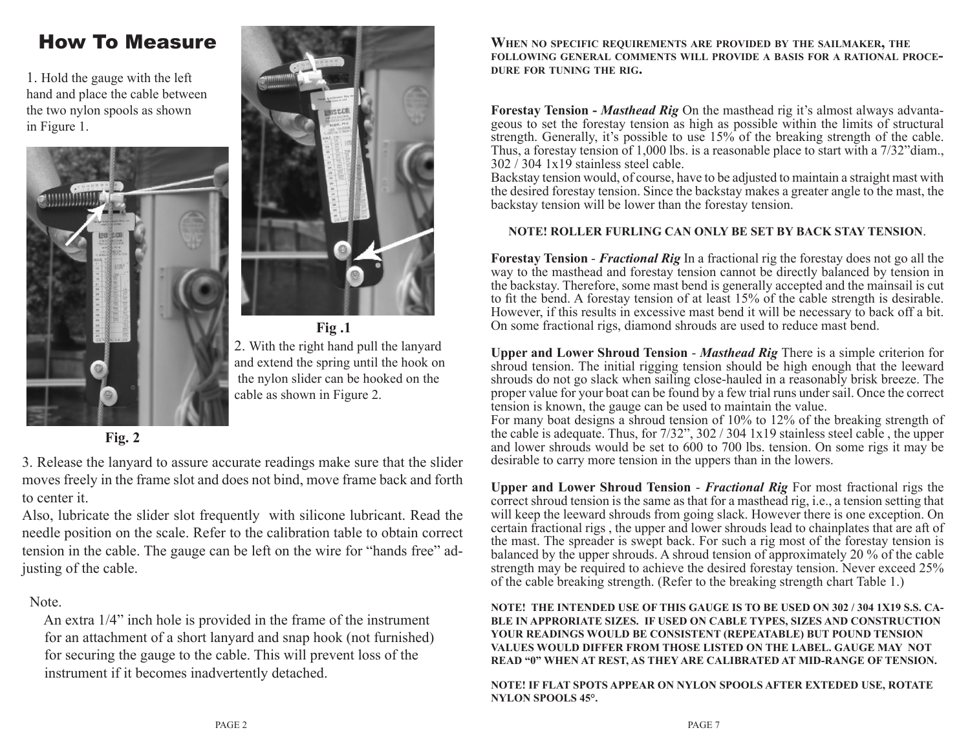## How To Measure

1. Hold the gauge with the left hand and place the cable between the two nylon spools as shown in Figure 1.





**Fig .1** 2. With the right hand pull the lanyard and extend the spring until the hook on the nylon slider can be hooked on the cable as shown in Figure 2.

**Fig. 2**

3. Release the lanyard to assure accurate readings make sure that the slider moves freely in the frame slot and does not bind, move frame back and forth to center it.

Also, lubricate the slider slot frequently with silicone lubricant. Read the needle position on the scale. Refer to the calibration table to obtain correct tension in the cable. The gauge can be left on the wire for "hands free" adjusting of the cable.

#### Note.

 An extra 1/4" inch hole is provided in the frame of the instrument for an attachment of a short lanyard and snap hook (not furnished) for securing the gauge to the cable. This will prevent loss of the instrument if it becomes inadvertently detached.

**When no specific requirements are provided by the sailmaker, the folloWing general comments Will provide <sup>a</sup> basis for <sup>a</sup> rational procedure for tuning the rig.**

**Forestay Tension -** *Masthead Rig* On the masthead rig it's almost always advantageous to set the forestay tension as high as possible within the limits of structural strength. Generally, it's possible to use 15% of the breaking strength of the cable. Thus, a forestay tension of 1,000 lbs. is a reasonable place to start with a 7/32"diam., 302 / 304 1x19 stainless steel cable.

Backstay tension would, of course, have to be adjusted to maintain a straight mast with the desired forestay tension. Since the backstay makes a greater angle to the mast, the backstay tension will be lower than the forestay tension.

#### **NOTE! ROLLER FURLING CAN ONLY BE SET BY BACK STAY TENSION**.

**Forestay Tension** - *Fractional Rig* In a fractional rig the forestay does not go all the way to the masthead and forestay tension cannot be directly balanced by tension in the backstay. Therefore, some mast bend is generally accepted and the mainsail is cut to fit the bend. A forestay tension of at least 15% of the cable strength is desirable. However, if this results in excessive mast bend it will be necessary to back off a bit. On some fractional rigs, diamond shrouds are used to reduce mast bend.

**Upper and Lower Shroud Tension** - *Masthead Rig* There is a simple criterion for shroud tension. The initial rigging tension should be high enough that the leeward shrouds do not go slack when sailing close-hauled in a reasonably brisk breeze. The proper value for your boat can be found by a few trial runs under sail. Once the correct tension is known, the gauge can be used to maintain the value.

For many boat designs a shroud tension of 10% to 12% of the breaking strength of the cable is adequate. Thus, for 7/32", 302 / 304 1x19 stainless steel cable , the upper and lower shrouds would be set to 600 to 700 lbs. tension. On some rigs it may be desirable to carry more tension in the uppers than in the lowers.

**Upper and Lower Shroud Tension** - *Fractional Rig* For most fractional rigs the correct shroud tension is the same as that for a masthead rig, i.e., a tension setting that will keep the leeward shrouds from going slack. However there is one exception. On certain fractional rigs , the upper and lower shrouds lead to chainplates that are aft of the mast. The spreader is swept back. For such a rig most of the forestay tension is balanced by the upper shrouds. A shroud tension of approximately 20 % of the cable strength may be required to achieve the desired forestay tension. Never exceed 25% of the cable breaking strength. (Refer to the breaking strength chart Table 1.)

**NOTE! THE INTENDED USE OF THIS GAUGE IS TO BE USED ON 302 / 304 1X19 S.S. CA-BLE IN APPRORIATE SIZES. IF USED ON CABLE TYPES, SIZES AND CONSTRUCTION YOUR READINGS WOULD BE CONSISTENT (REPEATABLE) BUT POUND TENSION VALUES WOULD DIFFER FROM THOSE LISTED ON THE LABEL. GAUGE MAY NOT READ "0" WHEN AT REST, AS THEY ARE CALIBRATED AT MID-RANGE OF TENSION.**

**NOTE! IF FLAT SPOTS APPEAR ON NYLON SPOOLS AFTER EXTEDED USE, ROTATE NYLON SPOOLS 45°.**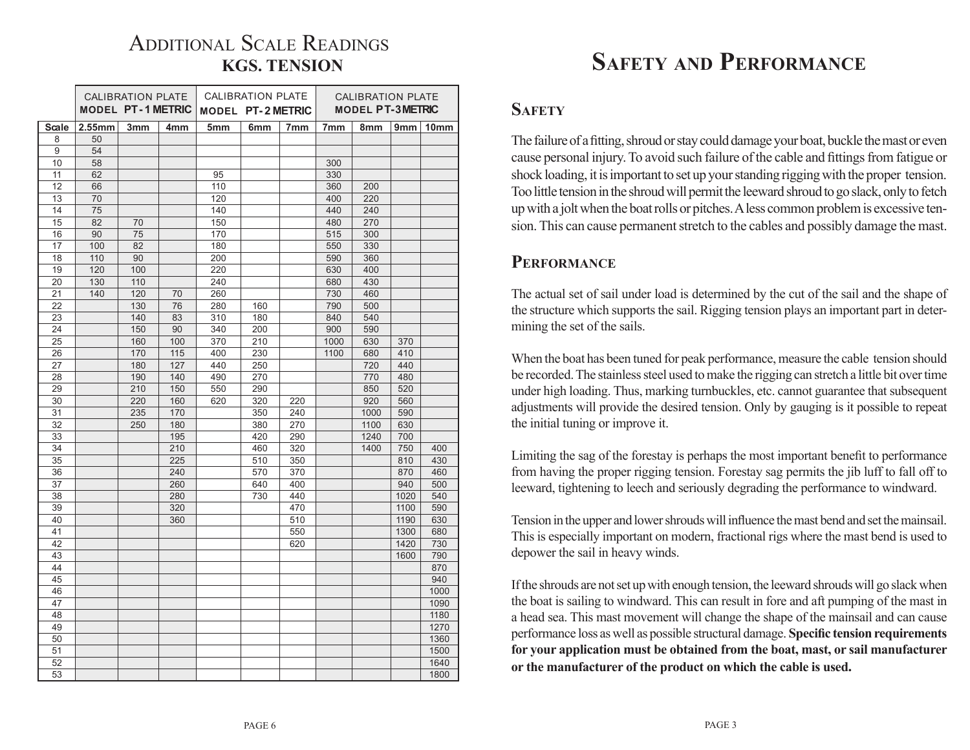# ADDITIONAL SCALE READINGS

|                   | CALIBRATION PLATE<br><b>MODEL PT-1 METRIC</b> |     | CALIBRATION PLATE<br><b>MODEL PT-2 METRIC</b> |                 |                 | <b>CALIBRATION PLATE</b><br><b>MODEL PT-3 METRIC</b> |                 |            |      |                  |
|-------------------|-----------------------------------------------|-----|-----------------------------------------------|-----------------|-----------------|------------------------------------------------------|-----------------|------------|------|------------------|
|                   |                                               |     |                                               |                 |                 |                                                      |                 |            |      |                  |
| <b>Scale</b><br>8 | 2.55mm<br>50                                  | 3mm | 4 <sub>mm</sub>                               | 5 <sub>mm</sub> | 6 <sub>mm</sub> | 7 <sub>mm</sub>                                      | 7 <sub>mm</sub> | 8mm        | 9mm  | 10 <sub>mm</sub> |
| 9                 | 54                                            |     |                                               |                 |                 |                                                      |                 |            |      |                  |
| 10                | 58                                            |     |                                               |                 |                 |                                                      | 300             |            |      |                  |
|                   | 62                                            |     |                                               |                 |                 |                                                      |                 |            |      |                  |
| 11                |                                               |     |                                               | 95              |                 |                                                      | 330             |            |      |                  |
| 12                | 66                                            |     |                                               | 110             |                 |                                                      | 360             | 200        |      |                  |
| 13<br>14          | 70<br>75                                      |     |                                               | 120<br>140      |                 |                                                      | 400<br>440      | 220<br>240 |      |                  |
| 15                | 82                                            | 70  |                                               | 150             |                 |                                                      | 480             | 270        |      |                  |
| 16                | 90                                            | 75  |                                               | 170             |                 |                                                      | 515             | 300        |      |                  |
| 17                | 100                                           | 82  |                                               | 180             |                 |                                                      | 550             | 330        |      |                  |
| 18                | 110                                           | 90  |                                               | 200             |                 |                                                      | 590             | 360        |      |                  |
| 19                | 120                                           | 100 |                                               | 220             |                 |                                                      | 630             | 400        |      |                  |
| 20                | 130                                           | 110 |                                               | 240             |                 |                                                      | 680             | 430        |      |                  |
| 21                | 140                                           | 120 | 70                                            | 260             |                 |                                                      | 730             | 460        |      |                  |
| 22                |                                               | 130 | 76                                            | 280             | 160             |                                                      | 790             | 500        |      |                  |
| 23                |                                               | 140 | 83                                            | 310             | 180             |                                                      | 840             | 540        |      |                  |
| 24                |                                               | 150 | 90                                            | 340             | 200             |                                                      | 900             | 590        |      |                  |
| 25                |                                               | 160 | 100                                           | 370             | 210             |                                                      | 1000            | 630        | 370  |                  |
| 26                |                                               | 170 | 115                                           | 400             | 230             |                                                      | 1100            | 680        | 410  |                  |
| 27                |                                               | 180 | 127                                           | 440             | 250             |                                                      |                 | 720        | 440  |                  |
| 28                |                                               | 190 | 140                                           | 490             | 270             |                                                      |                 | 770        | 480  |                  |
| 29                |                                               | 210 | 150                                           | 550             | 290             |                                                      |                 | 850        | 520  |                  |
| 30                |                                               | 220 | 160                                           | 620             | 320             | 220                                                  |                 | 920        | 560  |                  |
| 31                |                                               | 235 | 170                                           |                 | 350             | 240                                                  |                 | 1000       | 590  |                  |
| 32                |                                               | 250 | 180                                           |                 | 380             | 270                                                  |                 | 1100       | 630  |                  |
| 33                |                                               |     | 195                                           |                 | 420             | 290                                                  |                 | 1240       | 700  |                  |
| 34                |                                               |     | 210                                           |                 | 460             | 320                                                  |                 | 1400       | 750  | 400              |
| 35                |                                               |     | 225                                           |                 | 510             | 350                                                  |                 |            | 810  | 430              |
| 36                |                                               |     | 240                                           |                 | 570             | 370                                                  |                 |            | 870  | 460              |
| 37                |                                               |     | 260                                           |                 | 640             | 400                                                  |                 |            | 940  | 500              |
| 38                |                                               |     | 280                                           |                 | 730             | 440                                                  |                 |            | 1020 | 540              |
| 39                |                                               |     | 320                                           |                 |                 | 470                                                  |                 |            | 1100 | 590              |
| 40                |                                               |     | 360                                           |                 |                 | 510                                                  |                 |            | 1190 | 630              |
| 41                |                                               |     |                                               |                 |                 | 550                                                  |                 |            | 1300 | 680              |
| 42                |                                               |     |                                               |                 |                 | 620                                                  |                 |            | 1420 | 730              |
| 43                |                                               |     |                                               |                 |                 |                                                      |                 |            | 1600 | 790              |
| 44                |                                               |     |                                               |                 |                 |                                                      |                 |            |      | 870              |
| 45                |                                               |     |                                               |                 |                 |                                                      |                 |            |      | 940              |
| 46                |                                               |     |                                               |                 |                 |                                                      |                 |            |      | 1000             |
| 47                |                                               |     |                                               |                 |                 |                                                      |                 |            |      | 1090             |
| 48                |                                               |     |                                               |                 |                 |                                                      |                 |            |      | 1180             |
| 49                |                                               |     |                                               |                 |                 |                                                      |                 |            |      | 1270             |
| 50                |                                               |     |                                               |                 |                 |                                                      |                 |            |      | 1360             |
| 51                |                                               |     |                                               |                 |                 |                                                      |                 |            |      | 1500             |
| 52                |                                               |     |                                               |                 |                 |                                                      |                 |            |      | 1640             |
| 53                |                                               |     |                                               |                 |                 |                                                      |                 |            |      | 1800             |

# **KGS. TENSION safety and performance**

#### **SAFETY**

The failure of a fitting, shroud or stay could damage your boat, buckle the mast or even cause personal injury. To avoid such failure of the cable and fittings from fatigue or shock loading, it is important to set up your standing rigging with the proper tension. Too little tension in the shroud will permit the leeward shroud to go slack, only to fetch up with a jolt when the boat rolls or pitches. A less common problem is excessive tension. This can cause permanent stretch to the cables and possibly damage the mast.

#### **PERFORMANCE**

The actual set of sail under load is determined by the cut of the sail and the shape of the structure which supports the sail. Rigging tension plays an important part in determining the set of the sails.

When the boat has been tuned for peak performance, measure the cable tension should be recorded. The stainless steel used to make the rigging can stretch a little bit over time under high loading. Thus, marking turnbuckles, etc. cannot guarantee that subsequent adjustments will provide the desired tension. Only by gauging is it possible to repeat the initial tuning or improve it.

Limiting the sag of the forestay is perhaps the most important benefit to performance from having the proper rigging tension. Forestay sag permits the jib luff to fall off to leeward, tightening to leech and seriously degrading the performance to windward.

Tension in the upper and lower shrouds will influence the mast bend and set the mainsail. This is especially important on modern, fractional rigs where the mast bend is used to depower the sail in heavy winds.

If the shrouds are not set up with enough tension, the leeward shrouds will go slack when the boat is sailing to windward. This can result in fore and aft pumping of the mast in a head sea. This mast movement will change the shape of the mainsail and can cause performance loss as well as possible structural damage. **Specific tension requirements for your application must be obtained from the boat, mast, or sail manufacturer or the manufacturer of the product on which the cable is used.**